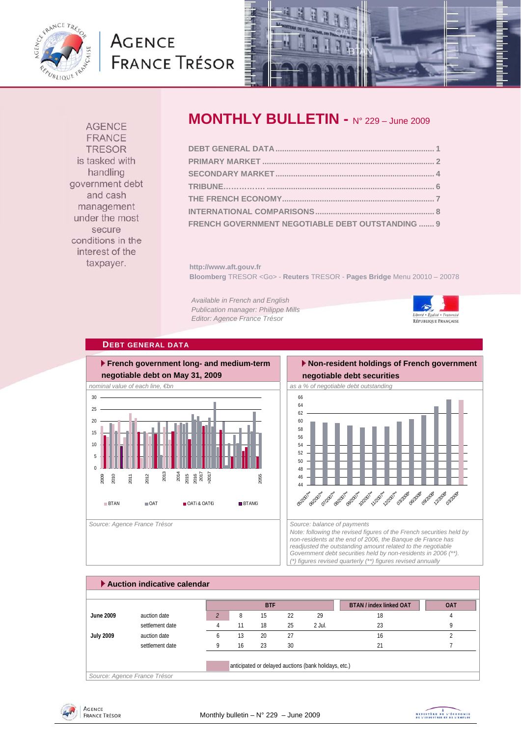

# **AGENCE FRANCE TRÉSOR**



**AGENCE FRANCE TRESOR** is tasked with handling government debt and cash management under the most secure conditions in the interest of the taxpayer.

# **MONTHLY BULLETIN -** N° 229 – June 2009

| FRENCH GOVERNMENT NEGOTIABLE DEBT OUTSTANDING  9 |  |
|--------------------------------------------------|--|

**http://www.aft.gouv.fr Bloomberg** TRESOR <Go> - **Reuters** TRESOR - **Pages Bridge** Menu 20010 – 20078

*Available in French and English Publication manager: Philippe Mills Editor: Agence France Trésor* 



## **DEBT GENERAL DATA**



## **Non-resident holdings of French government**

# **negotiable debt securities**



*Note: following the revised figures of the French securities held by non-residents at the end of 2006, the Banque de France has readjusted the outstanding amount related to the negotiable Government debt securities held by non-residents in 2006 (\*\*). (\*) figures revised quarterly (\*\*) figures revised annually* 

|                  |                 |              |    | <b>BTF</b> |    |        | <b>BTAN / index linked OAT</b> | <b>OAT</b> |
|------------------|-----------------|--------------|----|------------|----|--------|--------------------------------|------------|
| June 2009        | auction date    |              | 8  | 15         | 22 | 29     | 18                             |            |
|                  | settlement date |              | 11 | 18         | 25 | 2 Jul. | 23                             |            |
| <b>July 2009</b> | auction date    | <sub>b</sub> | 13 | 20         | 27 |        | 16                             |            |
|                  | settlement date |              | 16 | 23         | 30 |        | 21                             |            |



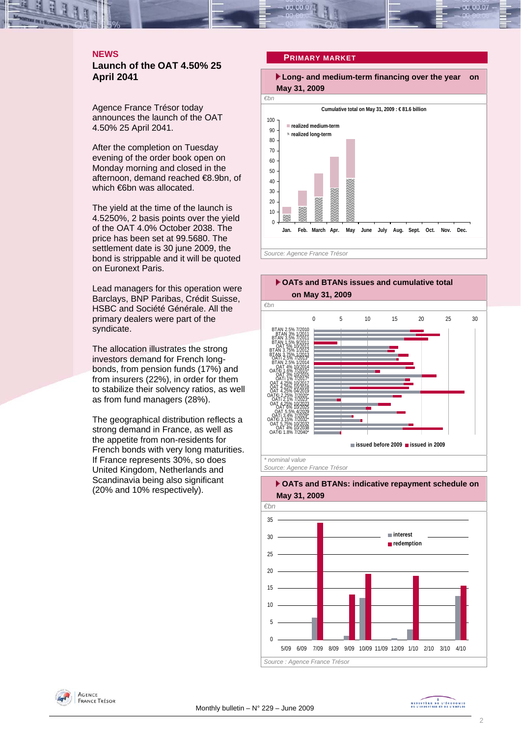## **NEWS Launch of the OAT 4.50% 25 April 2041**

Agence France Trésor today announces the launch of the OAT 4.50% 25 April 2041.

After the completion on Tuesday evening of the order book open on Monday morning and closed in the afternoon, demand reached €8.9bn, of which €6bn was allocated.

The yield at the time of the launch is 4.5250%, 2 basis points over the yield of the OAT 4.0% October 2038. The price has been set at 99.5680. The settlement date is 30 june 2009, the bond is strippable and it will be quoted on Euronext Paris.

Lead managers for this operation were Barclays, BNP Paribas, Crédit Suisse, HSBC and Société Générale. All the primary dealers were part of the syndicate.

The allocation illustrates the strong investors demand for French longbonds, from pension funds (17%) and from insurers (22%), in order for them to stabilize their solvency ratios, as well as from fund managers (28%).

The geographical distribution reflects a strong demand in France, as well as the appetite from non-residents for French bonds with very long maturities. If France represents 30%, so does United Kingdom, Netherlands and Scandinavia being also significant (20% and 10% respectively).

## **PRIMARY MARKET**



*Source: Agence France Trésor* 





MINISTRE DE L'ÉCONOMIE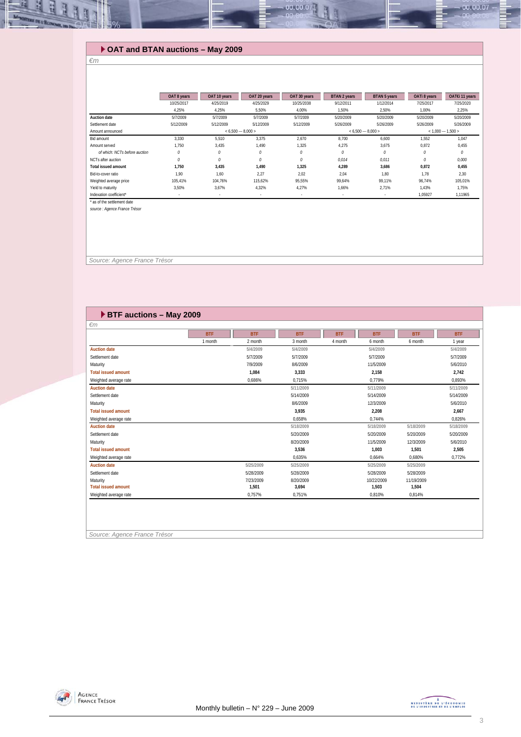## **OAT and BTAN auctions – May 2009**

### *€m*

里

|                               | OAT 8 years | OAT 10 years | OAT 20 years        | OAT 30 years | BTAN 2 years                               | <b>BTAN 5 years</b> | OATi 8 years | OAT€i 11 years |
|-------------------------------|-------------|--------------|---------------------|--------------|--------------------------------------------|---------------------|--------------|----------------|
|                               | 10/25/2017  | 4/25/2019    | 4/25/2029           | 10/25/2038   | 9/12/2011                                  | 1/12/2014           | 7/25/2017    | 7/25/2020      |
|                               | 4.25%       | 4.25%        | 5.50%               | 4.00%        | 1.50%                                      | 2.50%               | 1.00%        | 2,25%          |
| <b>Auction date</b>           | 5/7/2009    | 5/7/2009     | 5/7/2009            | 5/7/2009     | 5/20/2009                                  | 5/20/2009           | 5/20/2009    | 5/20/2009      |
| Settlement date               | 5/12/2009   | 5/12/2009    | 5/12/2009           | 5/12/2009    | 5/26/2009                                  | 5/26/2009           | 5/26/2009    | 5/26/2009      |
| Amount announced              |             |              | $< 6.500 - 8.000 >$ |              | $< 6,500 - 8,000 >$<br>$< 1.000 - 1.500 >$ |                     |              |                |
| Bid amount                    | 3.330       | 5.510        | 3.375               | 2,670        | 8.700                                      | 6.600               | 1.552        | 1.047          |
| Amount served                 | 1.750       | 3.435        | 1.490               | 1.325        | 4.275                                      | 3,675               | 0.872        | 0.455          |
| of which: NCTs before auction |             | 0            | 0                   | 0            | 0                                          | 0                   | 0            | $\theta$       |
| NCTs after auction            | 0           | $\theta$     | $\theta$            | 0            | 0.014                                      | 0.011               | 0            | 0,000          |
| <b>Total issued amount</b>    | 1.750       | 3.435        | 1.490               | 1.325        | 4.289                                      | 3.686               | 0.872        | 0,455          |
| Bid-to-cover ratio            | 1.90        | 1.60         | 2,27                | 2.02         | 2.04                                       | 1.80                | 1.78         | 2.30           |
| Weighted average price        | 105,41%     | 104.76%      | 115,62%             | 95,55%       | 99,64%                                     | 99,11%              | 96,74%       | 105,01%        |
| Yield to maturity             | 3.50%       | 3.67%        | 4,32%               | 4.27%        | 1.66%                                      | 2.71%               | 1.43%        | 1.75%          |
| Indexation coefficient*       | $\sim$      |              | $\sim$              | $\sim$       | $\overline{\phantom{a}}$                   | ٠                   | 1,05927      | 1,11965        |
| * as of the settlement date   |             |              |                     |              |                                            |                     |              |                |

 $0.00.00$ 

*source : Agence France Trésor*

 *Source: Agence France Trésor* 

## **BTF auctions – May 2009**

|                            | <b>BTF</b> | <b>BTF</b> | <b>BTF</b> | <b>BTF</b> | <b>BTF</b> | <b>BTF</b> | <b>BTF</b> |
|----------------------------|------------|------------|------------|------------|------------|------------|------------|
|                            | 1 month    | 2 month    | 3 month    | 4 month    | 6 month    | 6 month    | 1 year     |
| <b>Auction date</b>        |            | 5/4/2009   | 5/4/2009   |            | 5/4/2009   |            | 5/4/2009   |
| Settlement date            |            | 5/7/2009   | 5/7/2009   |            | 5/7/2009   |            | 5/7/2009   |
| Maturity                   |            | 7/9/2009   | 8/6/2009   |            | 11/5/2009  |            | 5/6/2010   |
| <b>Total issued amount</b> |            | 1,084      | 3,333      |            | 2,158      |            | 2,742      |
| Weighted average rate      |            | 0.686%     | 0.715%     |            | 0.779%     |            | 0.893%     |
| <b>Auction date</b>        |            |            | 5/11/2009  |            | 5/11/2009  |            | 5/11/2009  |
| Settlement date            |            |            | 5/14/2009  |            | 5/14/2009  |            | 5/14/2009  |
| Maturity                   |            |            | 8/6/2009   |            | 12/3/2009  |            | 5/6/2010   |
| <b>Total issued amount</b> |            |            | 3,935      |            | 2,208      |            | 2,667      |
| Weighted average rate      |            |            | 0.658%     |            | 0.744%     |            | 0.826%     |
| <b>Auction date</b>        |            |            | 5/18/2009  |            | 5/18/2009  | 5/18/2009  | 5/18/2009  |
| Settlement date            |            |            | 5/20/2009  |            | 5/20/2009  | 5/20/2009  | 5/20/2009  |
| Maturity                   |            |            | 8/20/2009  |            | 11/5/2009  | 12/3/2009  | 5/6/2010   |
| <b>Total issued amount</b> |            |            | 3,536      |            | 1,003      | 1,501      | 2,505      |
| Weighted average rate      |            |            | 0,635%     |            | 0,664%     | 0,680%     | 0,772%     |
| <b>Auction date</b>        |            | 5/25/2009  | 5/25/2009  |            | 5/25/2009  | 5/25/2009  |            |
| Settlement date            |            | 5/28/2009  | 5/28/2009  |            | 5/28/2009  | 5/28/2009  |            |
| Maturity                   |            | 7/23/2009  | 8/20/2009  |            | 10/22/2009 | 11/19/2009 |            |
| <b>Total issued amount</b> |            | 1,501      | 3,694      |            | 1,503      | 1,504      |            |
| Weighted average rate      |            | 0,757%     | 0,751%     |            | 0,810%     | 0,814%     |            |

*Source: Agence France Trésor* 



 $-00.00.07$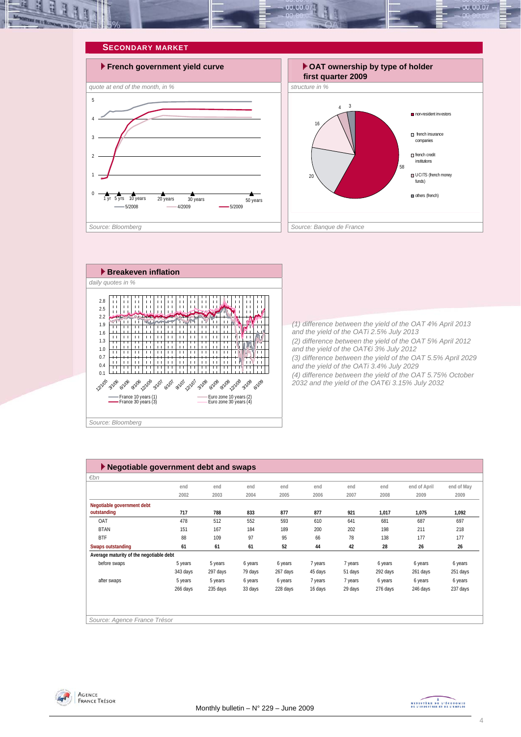







*(1) difference between the yield of the OAT 4% April 2013 and the yield of the OATi 2.5% July 2013 (2) difference between the yield of the OAT 5% April 2012 and the yield of the OAT€i 3% July 2012 (3) difference between the yield of the OAT 5.5% April 2029 and the yield of the OATi 3.4% July 2029 (4) difference between the yield of the OAT 5.75% October 2032 and the yield of the OAT€i 3.15% July 2032* 

| ▶ Negotiable government debt and swaps  |          |          |         |          |         |         |          |              |            |  |  |
|-----------------------------------------|----------|----------|---------|----------|---------|---------|----------|--------------|------------|--|--|
| $\varepsilon$ bn                        |          |          |         |          |         |         |          |              |            |  |  |
|                                         | end      | end      | end     | end      | end     | end     | end      | end of April | end of May |  |  |
|                                         | 2002     | 2003     | 2004    | 2005     | 2006    | 2007    | 2008     | 2009         | 2009       |  |  |
| Negotiable government debt              |          |          |         |          |         |         |          |              |            |  |  |
| outstanding                             | 717      | 788      | 833     | 877      | 877     | 921     | 1,017    | 1,075        | 1,092      |  |  |
| OAT                                     | 478      | 512      | 552     | 593      | 610     | 641     | 681      | 687          | 697        |  |  |
| <b>BTAN</b>                             | 151      | 167      | 184     | 189      | 200     | 202     | 198      | 211          | 218        |  |  |
| <b>BTF</b>                              | 88       | 109      | 97      | 95       | 66      | 78      | 138      | 177          | 177        |  |  |
| <b>Swaps outstanding</b>                | 61       | 61       | 61      | 52       | 44      | 42      | 28       | 26           | 26         |  |  |
| Average maturity of the negotiable debt |          |          |         |          |         |         |          |              |            |  |  |
| before swaps                            | 5 years  | 5 years  | 6 years | 6 years  | 7 years | 7 years | 6 years  | 6 years      | 6 years    |  |  |
|                                         | 343 days | 297 days | 79 days | 267 days | 45 days | 51 days | 292 days | 261 days     | 251 days   |  |  |
| after swaps                             | 5 years  | 5 years  | 6 years | 6 years  | 7 years | 7 years | 6 years  | 6 years      | 6 years    |  |  |
|                                         | 266 days | 235 days | 33 days | 228 days | 16 days | 29 days | 276 days | 246 days     | 237 days   |  |  |
|                                         |          |          |         |          |         |         |          |              |            |  |  |
|                                         |          |          |         |          |         |         |          |              |            |  |  |
|                                         |          |          |         |          |         |         |          |              |            |  |  |
| Source: Agence France Trésor            |          |          |         |          |         |         |          |              |            |  |  |



MINISTRE DE L'ÉCONOMIE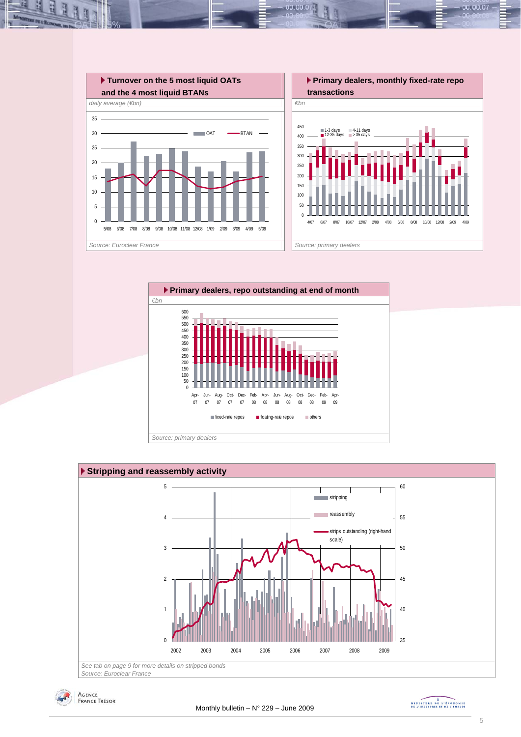

 $00.00.0$ 







MINISTRE DE L'ÉCONOMIE

00.00.07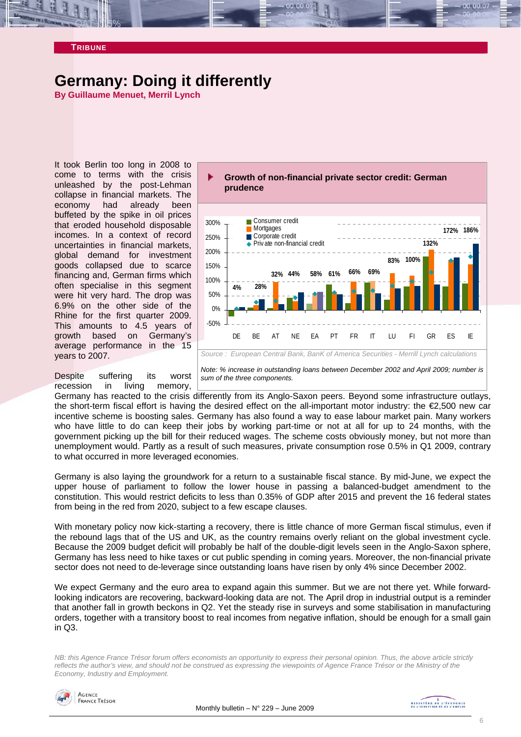## **TRIBUNE**

## **Germany: Doing it differently**

**By Guillaume Menuet, Merril Lynch** 

It took Berlin too long in 2008 to come to terms with the crisis unleashed by the post-Lehman collapse in financial markets. The economy had already been buffeted by the spike in oil prices that eroded household disposable incomes. In a context of record uncertainties in financial markets, global demand for investment goods collapsed due to scarce financing and, German firms which often specialise in this segment were hit very hard. The drop was 6.9% on the other side of the Rhine for the first quarter 2009. This amounts to 4.5 years of growth based on Germany's average performance in the 15 years to 2007.

Despite suffering its worst recession in living memory,



*Note: % increase in outstanding loans between December 2002 and April 2009; number is sum of the three components.* 

Germany has reacted to the crisis differently from its Anglo-Saxon peers. Beyond some infrastructure outlays, the short-term fiscal effort is having the desired effect on the all-important motor industry: the €2,500 new car incentive scheme is boosting sales. Germany has also found a way to ease labour market pain. Many workers who have little to do can keep their jobs by working part-time or not at all for up to 24 months, with the government picking up the bill for their reduced wages. The scheme costs obviously money, but not more than unemployment would. Partly as a result of such measures, private consumption rose 0.5% in Q1 2009, contrary to what occurred in more leveraged economies.

Germany is also laying the groundwork for a return to a sustainable fiscal stance. By mid-June, we expect the upper house of parliament to follow the lower house in passing a balanced-budget amendment to the constitution. This would restrict deficits to less than 0.35% of GDP after 2015 and prevent the 16 federal states from being in the red from 2020, subject to a few escape clauses.

With monetary policy now kick-starting a recovery, there is little chance of more German fiscal stimulus, even if the rebound lags that of the US and UK, as the country remains overly reliant on the global investment cycle. Because the 2009 budget deficit will probably be half of the double-digit levels seen in the Anglo-Saxon sphere, Germany has less need to hike taxes or cut public spending in coming years. Moreover, the non-financial private sector does not need to de-leverage since outstanding loans have risen by only 4% since December 2002.

We expect Germany and the euro area to expand again this summer. But we are not there yet. While forwardlooking indicators are recovering, backward-looking data are not. The April drop in industrial output is a reminder that another fall in growth beckons in Q2. Yet the steady rise in surveys and some stabilisation in manufacturing orders, together with a transitory boost to real incomes from negative inflation, should be enough for a small gain in Q3.

*NB: this Agence France Trésor forum offers economists an opportunity to express their personal opinion. Thus, the above article strictly reflects the author's view, and should not be construed as expressing the viewpoints of Agence France Trésor or the Ministry of the Economy, Industry and Employment.* 

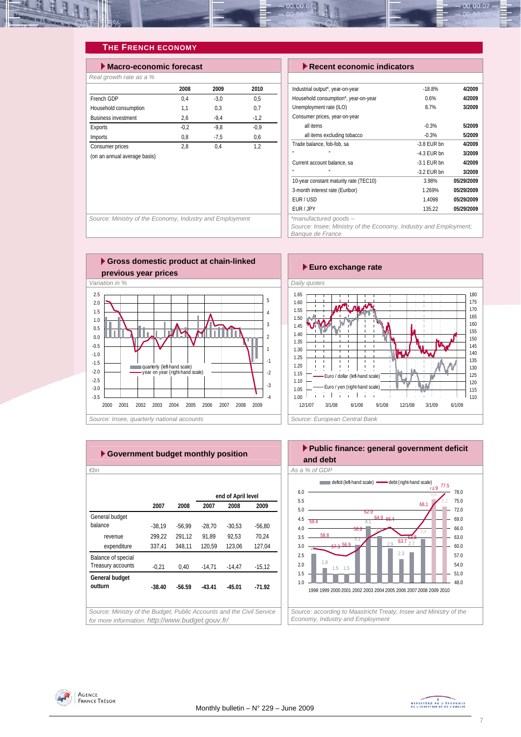

## **THE FRENCH ECONOMY**

| $\blacktriangleright$ Macro-economic forecast |        |        |  |  |  |  |  |  |  |
|-----------------------------------------------|--------|--------|--|--|--|--|--|--|--|
| Real growth rate as a %                       |        |        |  |  |  |  |  |  |  |
| 2008                                          | 2009   | 2010   |  |  |  |  |  |  |  |
| 0.4                                           | $-3.0$ | 0.5    |  |  |  |  |  |  |  |
| 1,1                                           | 0.3    | 0,7    |  |  |  |  |  |  |  |
| 2.6                                           | $-9.4$ | $-1.2$ |  |  |  |  |  |  |  |
| $-0.2$                                        | $-9.8$ | $-0.9$ |  |  |  |  |  |  |  |
| 0,8                                           | $-7.5$ | 0,6    |  |  |  |  |  |  |  |
| 2.8                                           | 0.4    | 1.2    |  |  |  |  |  |  |  |
|                                               |        |        |  |  |  |  |  |  |  |
|                                               |        |        |  |  |  |  |  |  |  |

## **Execent economic indicators**

| Industrial output*, year-on-year       | $-18.8%$      | 4/2009     |
|----------------------------------------|---------------|------------|
| Household consumption*, year-on-year   | 0.6%          | 4/2009     |
| Unemployment rate (ILO)                | 8.7%          | 3/2009     |
| Consumer prices, year-on-year          |               |            |
| all items                              | $-0.3%$       | 5/2009     |
| all items excluding tobacco            | $-0.3%$       | 5/2009     |
| Trade balance, fob-fob, sa             | $-3.8$ EUR bn | 4/2009     |
| п                                      | $-4.3$ FUR bn | 3/2009     |
| Current account balance, sa            | $-3.1$ FUR bn | 4/2009     |
| п                                      | $-3.2$ FUR bn | 3/2009     |
| 10-year constant maturity rate (TEC10) | 3.98%         | 05/29/2009 |
| 3-month interest rate (Euribor)        | 1.269%        | 05/29/2009 |
| FUR/USD                                | 1.4098        | 05/29/2009 |
| FUR / JPY                              | 135.22        | 05/29/2009 |
| *manufacturad anode —                  |               |            |

*Source: Insee; Ministry of the Economy, Industry and Employment; Banque de France* 

Source: Ministry of the Economy, Industry and Employment





| $\varepsilon$ bn   |          |          |          |                    |          |
|--------------------|----------|----------|----------|--------------------|----------|
|                    |          |          |          | end of April level |          |
|                    | 2007     | 2008     | 2007     | 2008               | 2009     |
| General budget     |          |          |          |                    |          |
| balance            | $-38,19$ | $-56.99$ | $-28,70$ | $-30,53$           | $-56,80$ |
| revenue            | 299,22   | 291,12   | 91,89    | 92.53              | 70,24    |
| expenditure        | 337,41   | 348,11   | 120,59   | 123,06             | 127,04   |
| Balance of special |          |          |          |                    |          |
| Treasury accounts  | $-0,21$  | 0,40     | $-14,71$ | $-14,47$           | $-15,12$ |
| General budget     |          |          |          |                    |          |
| outturn            | $-38.40$ | $-56.59$ | $-43.41$ | $-45.01$           | $-71.92$ |
|                    |          |          |          |                    |          |



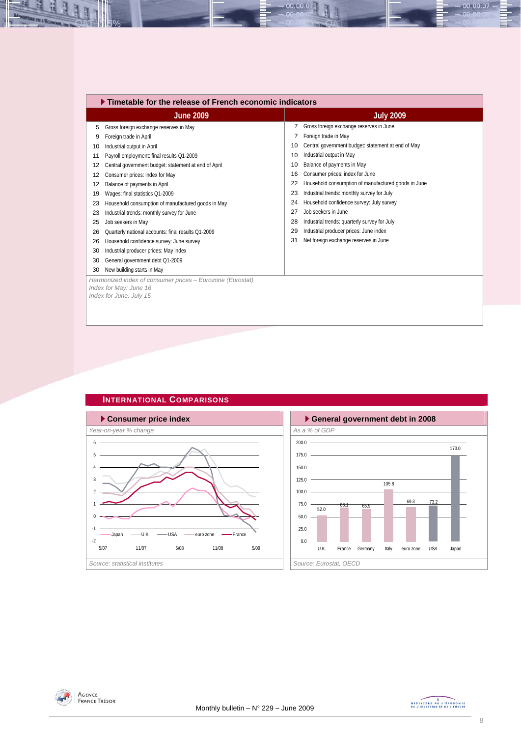|    | $\blacktriangleright$ Timetable for the release of French economic indicators                                  |    |                                                     |  |  |  |  |  |
|----|----------------------------------------------------------------------------------------------------------------|----|-----------------------------------------------------|--|--|--|--|--|
|    | <b>June 2009</b>                                                                                               |    | <b>July 2009</b>                                    |  |  |  |  |  |
| 5  | Gross foreign exchange reserves in May                                                                         |    | Gross foreign exchange reserves in June             |  |  |  |  |  |
| 9  | Foreign trade in April                                                                                         |    | Foreign trade in May                                |  |  |  |  |  |
| 10 | Industrial output in April                                                                                     | 10 | Central government budget: statement at end of May  |  |  |  |  |  |
| 11 | Payroll employment: final results Q1-2009                                                                      | 10 | Industrial output in May                            |  |  |  |  |  |
| 12 | Central government budget: statement at end of April                                                           | 10 | Balance of payments in May                          |  |  |  |  |  |
| 12 | Consumer prices: index for May                                                                                 | 16 | Consumer prices: index for June                     |  |  |  |  |  |
| 12 | Balance of payments in April                                                                                   | 22 | Household consumption of manufactured goods in June |  |  |  |  |  |
| 19 | Wages: final statistics Q1-2009                                                                                | 23 | Industrial trends: monthly survey for July          |  |  |  |  |  |
| 23 | Household consumption of manufactured goods in May                                                             | 24 | Household confidence survey: July survey            |  |  |  |  |  |
| 23 | Industrial trends: monthly survey for June                                                                     | 27 | Job seekers in June                                 |  |  |  |  |  |
| 25 | Job seekers in May                                                                                             | 28 | Industrial trends: quarterly survey for July        |  |  |  |  |  |
| 26 | Quarterly national accounts: final results Q1-2009                                                             | 29 | Industrial producer prices: June index              |  |  |  |  |  |
| 26 | Household confidence survey: June survey                                                                       | 31 | Net foreign exchange reserves in June               |  |  |  |  |  |
| 30 | Industrial producer prices: May index                                                                          |    |                                                     |  |  |  |  |  |
| 30 | General government debt Q1-2009                                                                                |    |                                                     |  |  |  |  |  |
| 30 | New building starts in May                                                                                     |    |                                                     |  |  |  |  |  |
|    | Harmonized index of consumer prices - Eurozone (Eurostat)<br>Index for May: June 16<br>Index for June: July 15 |    |                                                     |  |  |  |  |  |

00.00.07



**INTERNATIONAL COMPARISONS** 

## 105.8 69.3  $\begin{array}{cccc} 68.1 & 65.9 & 69.3 & 73.2 \\ 52.0 & 65.9 & 73.2 \end{array}$ 173.0  $0.0$  $25.0 -$ 50.0  $75.0 100.0 125.0 150.0 175.0 200.0 -$ U.K. France Germany Italy euro zone USA Japan



N



 $-00.00.07 -$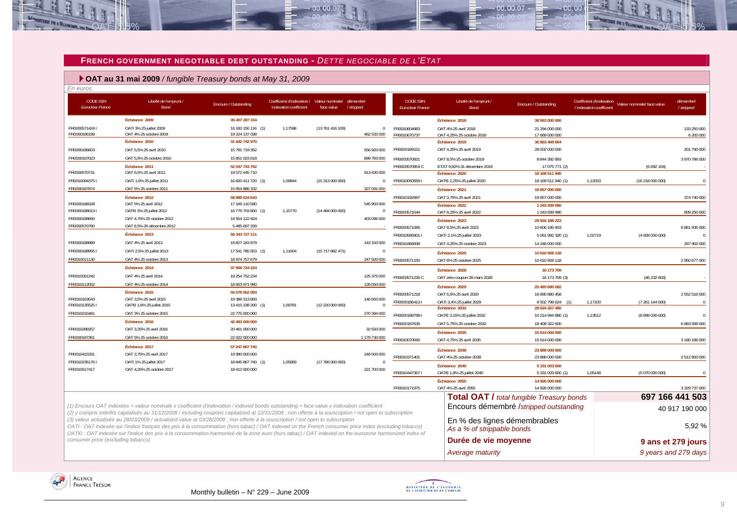### **FRENCH GOVERNMENT NEGOTIABLE DEBT OUTSTANDING -** *DETTE NEGOCIABLE DE L'ETAT*

 $-00,00,00$ 

## **OAT au 31 mai 2009** */ fungible Treasury bonds at May 31, 2009*

| . | . .<br>.<br>. .<br>٠ |
|---|----------------------|
|   |                      |

| <i>En euros</i><br><b>CODE ISIN</b><br><b>Euroclear France</b> | Libellé de l'emprunt /<br>Bond                                                                                                                            | Encours / Outstanding                | Coefficient d'indexation / Valeur nominale/ démembré<br>indexation coefficient | face value       | /stripped               | <b>CODE ISIN</b><br><b>Euroclear France</b> | Libellé de l'emprunt /<br>Bond              | Encours / Outstanding                            | Coefficient d'indexation<br>Valeur nominale/ face value<br>/ indexation coefficient | démembré<br>/ stripped |
|----------------------------------------------------------------|-----------------------------------------------------------------------------------------------------------------------------------------------------------|--------------------------------------|--------------------------------------------------------------------------------|------------------|-------------------------|---------------------------------------------|---------------------------------------------|--------------------------------------------------|-------------------------------------------------------------------------------------|------------------------|
|                                                                | Échéance 2009                                                                                                                                             | 35 407 287 154                       |                                                                                |                  |                         |                                             | Échéance 2018                               | 38 963 000 000                                   |                                                                                     |                        |
| FR00005714241                                                  | OATi 3% 25 juillet 2009                                                                                                                                   | 16 183 150 116 (1)                   | 1,17598                                                                        | (13761416109)    | $\mathbf{0}$            | FR0010604983                                | OAT 4% 25 avril 2018                        | 21 294 000 000                                   |                                                                                     | 133 250 000            |
| FR0000186199                                                   | OAT 4% 25 octobre 2009                                                                                                                                    | 19 224 137 038                       |                                                                                |                  | 462 533 000             | FR0010670737                                | OAT 4,25% 25 octobre 2018                   | 17 669 000 000                                   |                                                                                     | 6 200 000              |
|                                                                | Échéance 2010                                                                                                                                             | 31 642 742 970                       |                                                                                |                  |                         |                                             | Échéance 2019                               | 36 863 468 664                                   |                                                                                     |                        |
| FR0000186603                                                   | OAT 5,5% 25 avril 2010                                                                                                                                    | 15 791 719 352                       |                                                                                |                  | 556 920 000             | FR0000189151                                | OAT 4,25% 25 avril 2019                     | 28 002 000 000                                   |                                                                                     | 201 790 000            |
| FR0000187023                                                   | OAT 5,5% 25 octobre 2010                                                                                                                                  | 15 851 023 618                       |                                                                                |                  | 899 783 000             | FR0000570921                                | OAT 8.5% 25 octobre 2019                    | 8 844 392 893                                    |                                                                                     | 3 970 786 000          |
|                                                                | Échéance 2011                                                                                                                                             | 52 047 743 762                       |                                                                                |                  |                         | FR0000570954 C                              | ETAT 9,82% 31 décembre 2019                 | 17 075 771 (2)                                   | (6692154)                                                                           |                        |
| FR0000570731                                                   | OAT 6,5% 25 avril 2011                                                                                                                                    | 19 572 445 710                       |                                                                                |                  | 913 430 000             |                                             | Échéance 2020                               | 18 169 511 940                                   |                                                                                     |                        |
| FR00100943751<br>FR0000187874                                  | OATi 1,6% 25 juillet 2011<br>OAT 5% 25 octobre 2011                                                                                                       | 16 820 411 720 (1)                   | 1,09844                                                                        | (15313000000)    | $\mathbf{0}$            | FR00100505591                               | OATEi 2,25% 25 juillet 2020                 | 18 169 511 940 (1)                               | 1,12033<br>(16218000000)                                                            | $\sqrt{ }$             |
|                                                                |                                                                                                                                                           | 15 654 886 332                       |                                                                                |                  | 327 091 000             |                                             | Échéance 2021                               | 19 857 000 000                                   |                                                                                     |                        |
| FR0000188328                                                   | Échéance 2012<br>OAT 5% 25 avril 2012                                                                                                                     | 58 988 634 643<br>17 169 110 580     |                                                                                |                  | 545 950 000             | FR0010192997                                | OAT 3.75% 25 avril 2021                     | 19 857 000 000                                   |                                                                                     | 374 740 000            |
| FR00001880131                                                  | OATEI 3% 25 juillet 2012                                                                                                                                  | 16 779 703 800 (1)                   | 1,15770                                                                        | (1449400000)     | $\mathbf 0$             | FR0000571044                                | Échéance 2022<br>OAT 8,25% 25 avril 2022    | 1 243 939 990<br>1 243 939 990                   |                                                                                     | 809 250 000            |
| FR0000188690                                                   | OAT 4,75% 25 octobre 2012                                                                                                                                 | 19 554 122 924                       |                                                                                |                  | 403 096 000             |                                             | Échéance 2023                               | 29 916 188 223                                   |                                                                                     |                        |
| FR0000570780                                                   | OAT 8,5% 26 décembre 2012                                                                                                                                 | 5 485 697 339                        |                                                                                |                  |                         | FR0000571085                                | OAT 8,5% 25 avril 2023                      | 10 606 195 903                                   |                                                                                     | 6 861 935 000          |
|                                                                | Échéance 2013                                                                                                                                             | 56 343 727 111                       |                                                                                |                  |                         | FR0010585901 I                              | OATi 2,1% 25 juillet 2023                   | 5 061 992 320 (1)                                | 1,02719<br>(4928000000)                                                             |                        |
| FR0000188989                                                   | OAT 4% 25 avril 2013                                                                                                                                      | 19 827 183 879                       |                                                                                |                  | 143 150 000             | FR0010466938                                | OAT 4.25% 25 octobre 2023                   | 14 248 000 000                                   |                                                                                     | 297 902 000            |
| FR00001889551                                                  | OATi 2,5% 25 juillet 2013                                                                                                                                 | 17 541 785 553 (1)                   | 1.11604                                                                        | (15717882471)    | $\Omega$                |                                             | Échéance 2025                               | 10 610 928 118                                   |                                                                                     |                        |
| FR0010011130                                                   | OAT 4% 25 octobre 2013                                                                                                                                    | 18 974 757 679                       |                                                                                |                  | 247 920 000             | FR0000571150                                | OAT 6% 25 octobre 2025                      | 10 610 928 118                                   |                                                                                     | 2 950 677 000          |
|                                                                | Échéance 2014                                                                                                                                             | 37 908 724 224                       |                                                                                |                  |                         |                                             | Échéance 2028                               | 16 173 709                                       |                                                                                     |                        |
| FR0010061242                                                   | OAT 4% 25 avril 2014                                                                                                                                      | 19 254 752 234                       |                                                                                |                  | 125 375 000             | FR0000571226 C                              | OAT zéro coupon 28 mars 2028                | 16 173 709 (3)                                   | (46232603)                                                                          |                        |
| FR0010112052                                                   | OAT 4% 25 octobre 2014                                                                                                                                    | 18 653 971 990                       |                                                                                |                  | 126 050 000             |                                             | Échéance 2029                               | 25 493 680 082                                   |                                                                                     |                        |
|                                                                | Échéance 2015                                                                                                                                             | 55 578 552 093                       |                                                                                |                  |                         | FR0000571218                                | OAT 5.5% 25 avril 2029                      | 16 990 880 458                                   |                                                                                     | 2 552 516 000          |
| FR0010163543<br>FR00101355251                                  | OAT 3.5% 25 avril 2015<br>OATEI 1,6% 25 juillet 2015                                                                                                      | 19 388 313 893<br>13 415 238 200 (1) | 1,09781                                                                        | (12 220 000 000) | 146 650 000<br>$\Omega$ | FR00001864131                               | OATi 3,4% 25 juillet 2029                   | 8 502 799 624                                    | 1,17100<br>(7 261 144 000)                                                          | - 0                    |
| FR0010216481                                                   | OAT 3% 25 octobre 2015                                                                                                                                    | 22 775 000 000                       |                                                                                |                  | 270 394 000             |                                             | Échéance 2032                               | 28 624 267 480                                   |                                                                                     |                        |
|                                                                | Échéance 2016                                                                                                                                             | 42 483 000 000                       |                                                                                |                  |                         | FR0000188799 I                              | OATEi 3,15% 25 juillet 2032                 | 10 214 944 880 (1)                               | 1,13512<br>(8999000000)                                                             | $\sqrt{ }$             |
| FR0010288357                                                   | OAT 3,25% 25 avril 2016                                                                                                                                   | 20 461 000 000                       |                                                                                |                  | 32 550 000              | FR0000187635                                | OAT 5,75% 25 octobre 2032                   | 18 409 322 600                                   |                                                                                     | 6 883 599 000          |
| FR0000187361                                                   | OAT 5% 25 octobre 2016                                                                                                                                    | 22 022 000 000                       |                                                                                |                  | 1 179 730 000           |                                             | Échéance 2035                               | 15 614 000 000                                   |                                                                                     |                        |
|                                                                | Échéance 2017                                                                                                                                             | 57 247 867 740                       |                                                                                |                  |                         | FR0010070060                                | OAT 4,75% 25 avril 2035                     | 15 614 000 000                                   |                                                                                     | 3 180 186 000          |
| FR0010415331                                                   | OAT 3,75% 25 avril 2017                                                                                                                                   | 19 990 000 000                       |                                                                                |                  | 249 500 000             |                                             | Échéance 2038                               | 23 889 000 000                                   |                                                                                     |                        |
| FR00102351761                                                  | OATi 1% 25 juillet 2017                                                                                                                                   | 18 845 867 740 (1)                   | 1.05959                                                                        | (17786000000)    | $\theta$                | FR0010371401                                | OAT 4% 25 octobre 2038                      | 23 889 000 000                                   |                                                                                     | 2 512 800 000          |
| FR0010517417                                                   | OAT 4,25% 25 octobre 2017                                                                                                                                 | 18 412 000 000                       |                                                                                |                  | 221 700 000             | FR00104473671                               | Échéance 2040                               | 5 331 003 600<br>5 331 003 600 (1)               | 1,05148<br>(5070000000)                                                             |                        |
|                                                                |                                                                                                                                                           |                                      |                                                                                |                  |                         |                                             | OATEi 1,8% 25 juillet 2040<br>Échéance 2055 | 14 926 000 000                                   |                                                                                     |                        |
|                                                                |                                                                                                                                                           |                                      |                                                                                |                  |                         | FR0010171975                                | OAT 4% 25 avril 2055                        | 14 926 000 000                                   |                                                                                     | 3 329 737 000          |
|                                                                |                                                                                                                                                           |                                      |                                                                                |                  |                         |                                             |                                             | <b>Total OAT / total fungible Treasury bonds</b> |                                                                                     | 697 166 441 503        |
|                                                                | (1) Encours OAT indexées = valeur nominale x coefficient d'indexation / indexed bonds outstanding = face value x indexation coefficient                   |                                      |                                                                                |                  |                         |                                             |                                             |                                                  |                                                                                     |                        |
|                                                                | (2) y compris intérêts capitalisés au 31/12/2008 / including coupons capitalized at 12/31/2008 ; non offerte à la souscription / not open to subscription |                                      |                                                                                |                  |                         |                                             |                                             | Encours démembré /stripped outstanding           |                                                                                     | 40 917 190 000         |
|                                                                | (3) valeur actualisée au 28/03/2009 / actualized value at 03/28/2009 ; non offerte à la souscription / not open to subscription                           |                                      |                                                                                |                  |                         |                                             | En % des lignes démembrables                |                                                  |                                                                                     |                        |
|                                                                | OATi : OAT indexée sur l'indice français des prix à la consommation (hors tabac) / OAT indexed on the French consumer price index (excluding tobacco)     |                                      |                                                                                |                  |                         |                                             | As a % of strippable bonds                  |                                                  |                                                                                     | 5,92 %                 |
| consumer price (excluding tobacco)                             | OAT€i : OAT indexée sur l'indice des prix à la consommation harmonisé de la zone euro (hors tabac) / OAT indexed on the eurozone harmonized index of      |                                      |                                                                                |                  |                         |                                             |                                             |                                                  |                                                                                     |                        |
|                                                                |                                                                                                                                                           |                                      |                                                                                |                  |                         |                                             | Durée de vie moyenne                        |                                                  |                                                                                     | 9 ans et 279 jours     |
|                                                                |                                                                                                                                                           |                                      |                                                                                |                  |                         |                                             | Average maturity                            |                                                  |                                                                                     | 9 years and 279 days   |





 $00007$